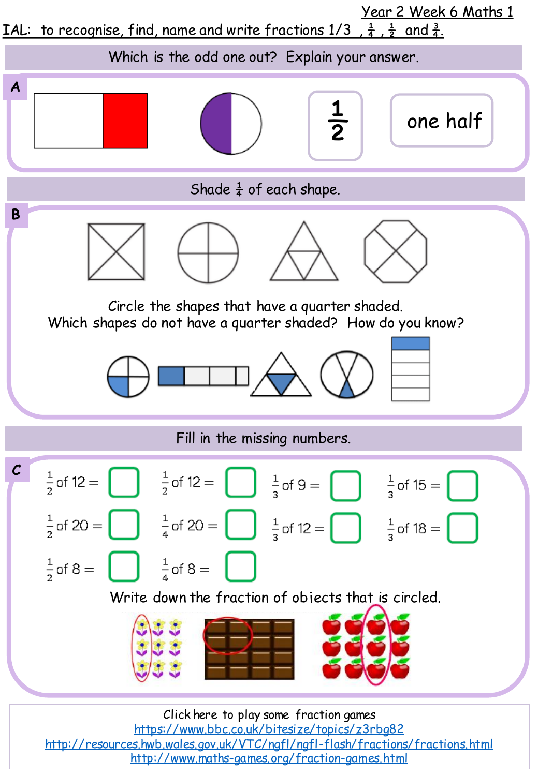

<https://www.bbc.co.uk/bitesize/topics/z3rbg82> <http://resources.hwb.wales.gov.uk/VTC/ngfl/ngfl-flash/fractions/fractions.html> <http://www.maths-games.org/fraction-games.html>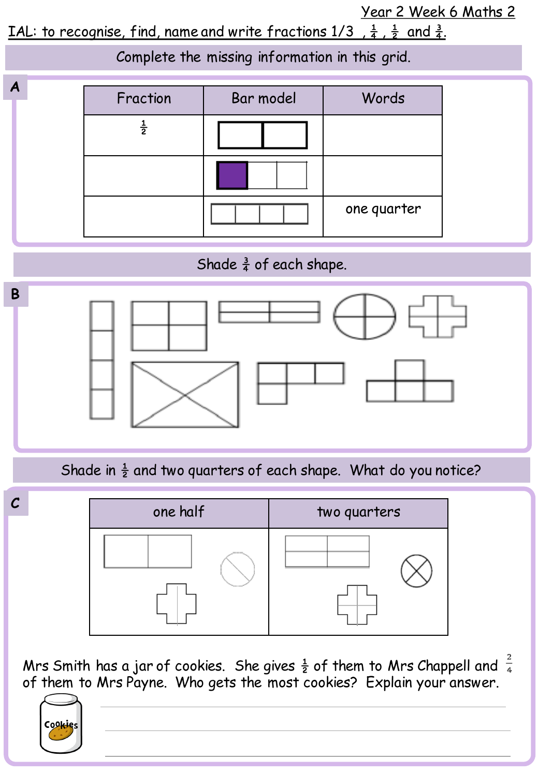Year 2 Week 6 Maths 2

IAL: to recognise, find, name and write fractions  $1/3$ ,  $\frac{1}{4}$ ,  $\frac{1}{2}$  and  $\frac{3}{4}$ .

**A B** Complete the missing information in this grid. Fraction | Bar model | Words  $\frac{1}{2}$ one quarter Shade  $\frac{3}{4}$  of each shape.

Shade in  $\frac{1}{2}$  and two quarters of each shape. What do you notice?



Mrs Smith has a jar of cookies. She gives  $\frac{1}{2}$  of them to Mrs Chappell and of them to Mrs Payne. Who gets the most cookies? Explain your answer.